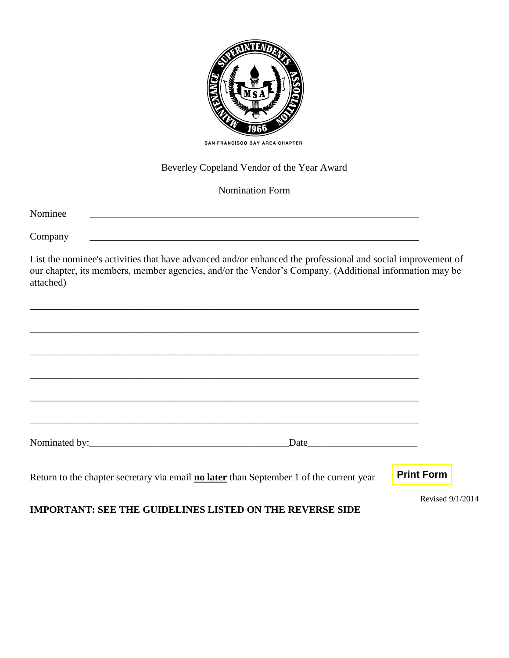

# Beverley Copeland Vendor of the Year Award

#### Nomination Form

Nominee \_\_\_\_\_\_\_\_\_\_\_\_\_\_\_\_\_\_\_\_\_\_\_\_\_\_\_\_\_\_\_\_\_\_\_\_\_\_\_\_\_\_\_\_\_\_\_\_\_\_\_\_\_\_\_\_\_\_\_\_\_\_\_\_\_\_

Company \_\_\_\_\_\_\_\_\_\_\_\_\_\_\_\_\_\_\_\_\_\_\_\_\_\_\_\_\_\_\_\_\_\_\_\_\_\_\_\_\_\_\_\_\_\_\_\_\_\_\_\_\_\_\_\_\_\_\_\_\_\_\_\_\_\_

List the nominee's activities that have advanced and/or enhanced the professional and social improvement of our chapter, its members, member agencies, and/or the Vendor's Company. (Additional information may be attached)

| Date experience and the set of the set of the set of the set of the set of the set of the set of the set of the set of the set of the set of the set of the set of the set of the set of the set of the set of the set of the |                   |
|-------------------------------------------------------------------------------------------------------------------------------------------------------------------------------------------------------------------------------|-------------------|
|                                                                                                                                                                                                                               |                   |
| Return to the chapter secretary via email <b>no later</b> than September 1 of the current year                                                                                                                                | <b>Print Form</b> |

Revised 9/1/2014

## **IMPORTANT: SEE THE GUIDELINES LISTED ON THE REVERSE SIDE**